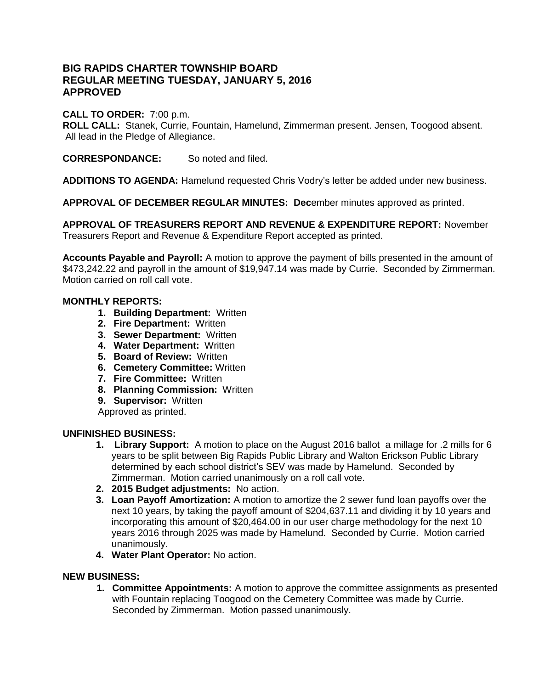# **BIG RAPIDS CHARTER TOWNSHIP BOARD REGULAR MEETING TUESDAY, JANUARY 5, 2016 APPROVED**

### **CALL TO ORDER:** 7:00 p.m.

**ROLL CALL:** Stanek, Currie, Fountain, Hamelund, Zimmerman present. Jensen, Toogood absent. All lead in the Pledge of Allegiance.

**CORRESPONDANCE:** So noted and filed.

**ADDITIONS TO AGENDA:** Hamelund requested Chris Vodry's letter be added under new business.

**APPROVAL OF DECEMBER REGULAR MINUTES: Dec**ember minutes approved as printed.

**APPROVAL OF TREASURERS REPORT AND REVENUE & EXPENDITURE REPORT:** November Treasurers Report and Revenue & Expenditure Report accepted as printed.

**Accounts Payable and Payroll:** A motion to approve the payment of bills presented in the amount of \$473,242.22 and payroll in the amount of \$19,947.14 was made by Currie. Seconded by Zimmerman. Motion carried on roll call vote.

### **MONTHLY REPORTS:**

- **1. Building Department:** Written
- **2. Fire Department:** Written
- **3. Sewer Department:** Written
- **4. Water Department:** Written
- **5. Board of Review:** Written
- **6. Cemetery Committee:** Written
- **7. Fire Committee:** Written
- **8. Planning Commission:** Written
- **9. Supervisor:** Written
- Approved as printed.

#### **UNFINISHED BUSINESS:**

- **1. Library Support:** A motion to place on the August 2016 ballot a millage for .2 mills for 6 years to be split between Big Rapids Public Library and Walton Erickson Public Library determined by each school district's SEV was made by Hamelund. Seconded by Zimmerman. Motion carried unanimously on a roll call vote.
- **2. 2015 Budget adjustments:** No action.
- **3. Loan Payoff Amortization:** A motion to amortize the 2 sewer fund loan payoffs over the next 10 years, by taking the payoff amount of \$204,637.11 and dividing it by 10 years and incorporating this amount of \$20,464.00 in our user charge methodology for the next 10 years 2016 through 2025 was made by Hamelund. Seconded by Currie. Motion carried unanimously.
- **4. Water Plant Operator:** No action.

#### **NEW BUSINESS:**

**1. Committee Appointments:** A motion to approve the committee assignments as presented with Fountain replacing Toogood on the Cemetery Committee was made by Currie. Seconded by Zimmerman. Motion passed unanimously.